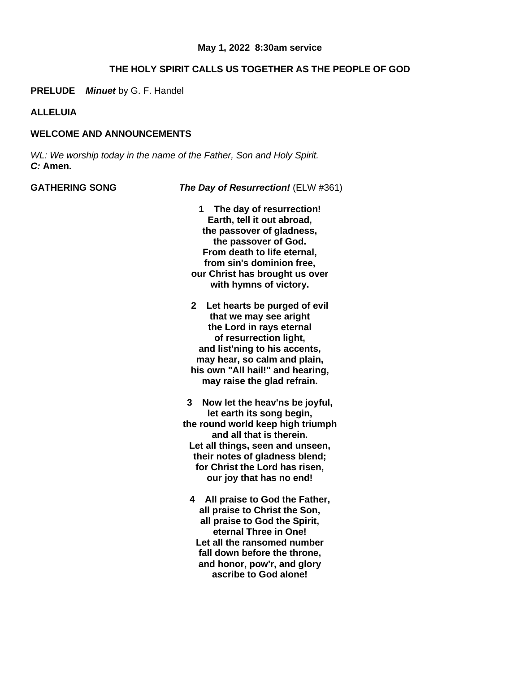## **THE HOLY SPIRIT CALLS US TOGETHER AS THE PEOPLE OF GOD**

**PRELUDE** *Minuet* by G. F. Handel

**ALLELUIA**

# **WELCOME AND ANNOUNCEMENTS**

*WL: We worship today in the name of the Father, Son and Holy Spirit. C:* **Amen.**

**GATHERING SONG** *The Day of Resurrection!* (ELW #361)

- **1 The day of resurrection! Earth, tell it out abroad, the passover of gladness, the passover of God. From death to life eternal, from sin's dominion free, our Christ has brought us over with hymns of victory.**
- **2 Let hearts be purged of evil that we may see aright the Lord in rays eternal of resurrection light, and list'ning to his accents, may hear, so calm and plain, his own "All hail!" and hearing, may raise the glad refrain.**

**3 Now let the heav'ns be joyful, let earth its song begin, the round world keep high triumph and all that is therein. Let all things, seen and unseen, their notes of gladness blend; for Christ the Lord has risen, our joy that has no end!**

**4 All praise to God the Father, all praise to Christ the Son, all praise to God the Spirit, eternal Three in One! Let all the ransomed number fall down before the throne, and honor, pow'r, and glory ascribe to God alone!**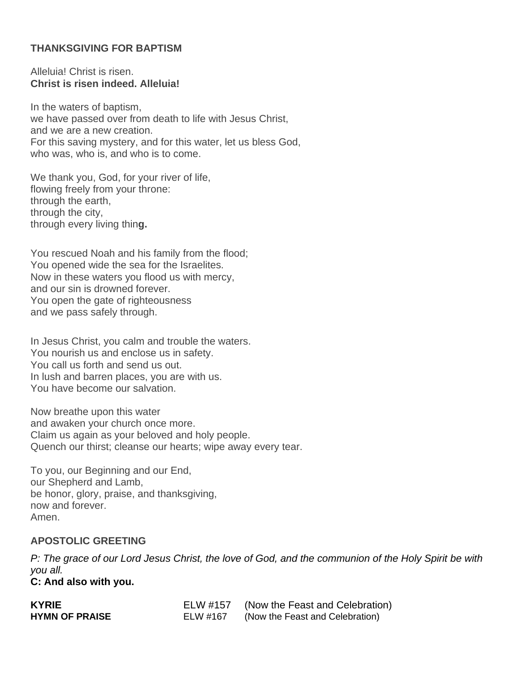# **THANKSGIVING FOR BAPTISM**

Alleluia! Christ is risen. **Christ is risen indeed. Alleluia!**

In the waters of baptism, we have passed over from death to life with Jesus Christ, and we are a new creation. For this saving mystery, and for this water, let us bless God, who was, who is, and who is to come.

We thank you, God, for your river of life, flowing freely from your throne: through the earth, through the city, through every living thin**g.**

You rescued Noah and his family from the flood; You opened wide the sea for the Israelites. Now in these waters you flood us with mercy, and our sin is drowned forever. You open the gate of righteousness and we pass safely through.

In Jesus Christ, you calm and trouble the waters. You nourish us and enclose us in safety. You call us forth and send us out. In lush and barren places, you are with us. You have become our salvation.

Now breathe upon this water and awaken your church once more. Claim us again as your beloved and holy people. Quench our thirst; cleanse our hearts; wipe away every tear.

To you, our Beginning and our End, our Shepherd and Lamb, be honor, glory, praise, and thanksgiving, now and forever. Amen.

# **APOSTOLIC GREETING**

P: The grace of our Lord Jesus Christ, the love of God, and the communion of the Holy Spirit be with *you all.* **C: And also with you.**

| <b>KYRIE</b>          | ELW #157 | (Now the Feast and Celebration) |
|-----------------------|----------|---------------------------------|
| <b>HYMN OF PRAISE</b> | ELW #167 | (Now the Feast and Celebration) |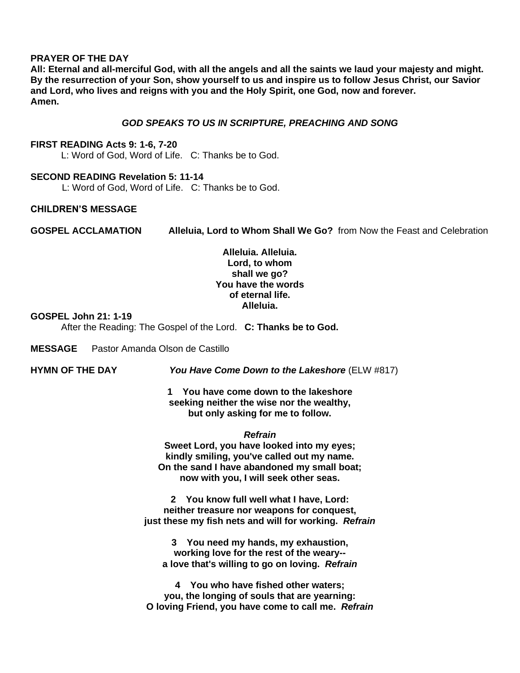#### **PRAYER OF THE DAY**

**All: Eternal and all-merciful God, with all the angels and all the saints we laud your majesty and might. By the resurrection of your Son, show yourself to us and inspire us to follow Jesus Christ, our Savior and Lord, who lives and reigns with you and the Holy Spirit, one God, now and forever. Amen.**

#### *GOD SPEAKS TO US IN SCRIPTURE, PREACHING AND SONG*

#### **FIRST READING Acts 9: 1-6, 7-20**

L: Word of God, Word of Life. C: Thanks be to God.

#### **SECOND READING Revelation 5: 11-14**

L: Word of God, Word of Life. C: Thanks be to God.

#### **CHILDREN'S MESSAGE**

**GOSPEL ACCLAMATION Alleluia, Lord to Whom Shall We Go?** from Now the Feast and Celebration

# **Alleluia. Alleluia. Lord, to whom shall we go? You have the words of eternal life. Alleluia.**

#### **GOSPEL John 21: 1-19**

After the Reading: The Gospel of the Lord. **C: Thanks be to God.**

**MESSAGE** Pastor Amanda Olson de Castillo

**HYMN OF THE DAY** *You Have Come Down to the Lakeshore* (ELW #817)

**1 You have come down to the lakeshore seeking neither the wise nor the wealthy, but only asking for me to follow.**

#### *Refrain*

**Sweet Lord, you have looked into my eyes; kindly smiling, you've called out my name. On the sand I have abandoned my small boat; now with you, I will seek other seas.**

**2 You know full well what I have, Lord: neither treasure nor weapons for conquest, just these my fish nets and will for working.** *Refrain*

**3 You need my hands, my exhaustion, working love for the rest of the weary- a love that's willing to go on loving.** *Refrain*

**4 You who have fished other waters; you, the longing of souls that are yearning: O loving Friend, you have come to call me.** *Refrain*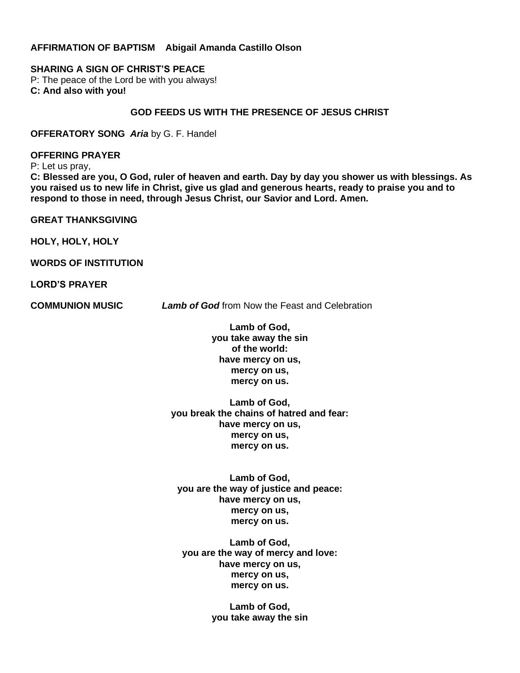#### **AFFIRMATION OF BAPTISM Abigail Amanda Castillo Olson**

#### **SHARING A SIGN OF CHRIST'S PEACE**

P: The peace of the Lord be with you always! **C: And also with you!**

# **GOD FEEDS US WITH THE PRESENCE OF JESUS CHRIST**

**OFFERATORY SONG** *Aria* by G. F. Handel

**OFFERING PRAYER**

P: Let us pray,

C: Blessed are you, O God, ruler of heaven and earth. Day by day you shower us with blessings. As you raised us to new life in Christ, give us glad and generous hearts, ready to praise you and to **respond to those in need, through Jesus Christ, our Savior and Lord. Amen.**

**GREAT THANKSGIVING**

**HOLY, HOLY, HOLY**

**WORDS OF INSTITUTION**

**LORD'S PRAYER**

**COMMUNION MUSIC** *Lamb of God* from Now the Feast and Celebration

**Lamb of God, you take away the sin of the world: have mercy on us, mercy on us, mercy on us.**

**Lamb of God, you break the chains of hatred and fear: have mercy on us, mercy on us, mercy on us.**

**Lamb of God, you are the way of justice and peace: have mercy on us, mercy on us, mercy on us.**

**Lamb of God, you are the way of mercy and love: have mercy on us, mercy on us, mercy on us.**

> **Lamb of God, you take away the sin**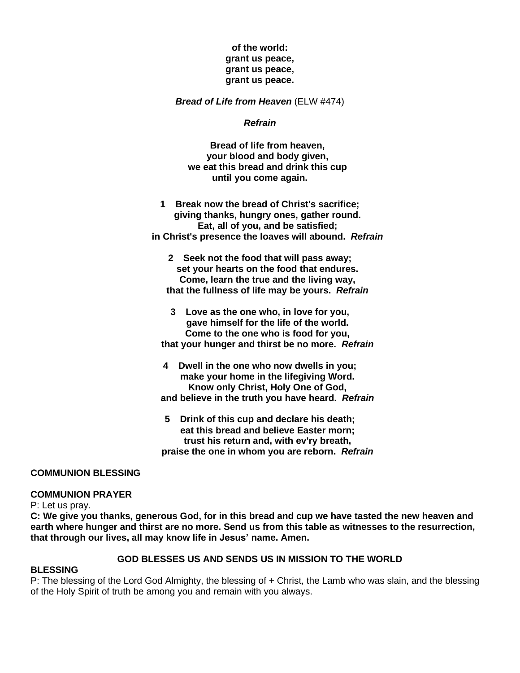# **of the world: grant us peace, grant us peace, grant us peace.**

*Bread of Life from Heaven* (ELW #474)

#### *Refrain*

**Bread of life from heaven, your blood and body given, we eat this bread and drink this cup until you come again.**

**1 Break now the bread of Christ's sacrifice; giving thanks, hungry ones, gather round. Eat, all of you, and be satisfied; in Christ's presence the loaves will abound.** *Refrain*

**2 Seek not the food that will pass away; set your hearts on the food that endures. Come, learn the true and the living way, that the fullness of life may be yours.** *Refrain*

**3 Love as the one who, in love for you, gave himself for the life of the world. Come to the one who is food for you, that your hunger and thirst be no more.** *Refrain*

- **4 Dwell in the one who now dwells in you; make your home in the lifegiving Word. Know only Christ, Holy One of God, and believe in the truth you have heard.** *Refrain*
- **5 Drink of this cup and declare his death; eat this bread and believe Easter morn; trust his return and, with ev'ry breath, praise the one in whom you are reborn.** *Refrain*

#### **COMMUNION BLESSING**

#### **COMMUNION PRAYER**

P: Let us pray.

C: We give you thanks, generous God, for in this bread and cup we have tasted the new heaven and earth where hunger and thirst are no more. Send us from this table as witnesses to the resurrection, **that through our lives, all may know life in Jesus' name. Amen.**

# **GOD BLESSES US AND SENDS US IN MISSION TO THE WORLD**

#### **BLESSING**

P: The blessing of the Lord God Almighty, the blessing of + Christ, the Lamb who was slain, and the blessing of the Holy Spirit of truth be among you and remain with you always.